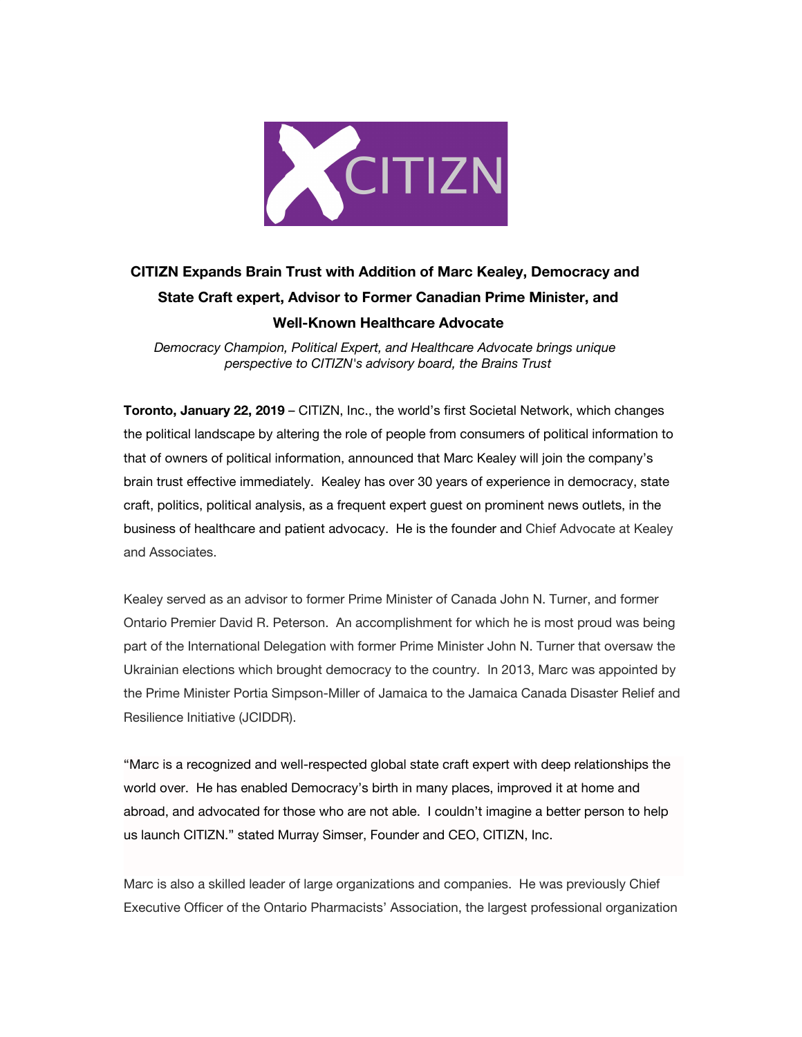

## **CITIZN Expands Brain Trust with Addition of Marc Kealey, Democracy and State Craft expert, Advisor to Former Canadian Prime Minister, and Well-Known Healthcare Advocate**

*Democracy Champion, Political Expert, and Healthcare Advocate brings unique perspective to CITIZN's advisory board, the Brains Trust*

**Toronto, January 22, 2019** – CITIZN, Inc., the world's first Societal Network, which changes the political landscape by altering the role of people from consumers of political information to that of owners of political information, announced that Marc Kealey will join the company's brain trust effective immediately. Kealey has over 30 years of experience in democracy, state craft, politics, political analysis, as a frequent expert guest on prominent news outlets, in the business of healthcare and patient advocacy. He is the founder and Chief Advocate at Kealey and Associates.

Kealey served as an advisor to former Prime Minister of Canada John N. Turner, and former Ontario Premier David R. Peterson. An accomplishment for which he is most proud was being part of the International Delegation with former Prime Minister John N. Turner that oversaw the Ukrainian elections which brought democracy to the country. In 2013, Marc was appointed by the Prime Minister Portia Simpson-Miller of Jamaica to the Jamaica Canada Disaster Relief and Resilience Initiative (JCIDDR).

"Marc is a recognized and well-respected global state craft expert with deep relationships the world over. He has enabled Democracy's birth in many places, improved it at home and abroad, and advocated for those who are not able. I couldn't imagine a better person to help us launch CITIZN." stated Murray Simser, Founder and CEO, CITIZN, Inc.

Marc is also a skilled leader of large organizations and companies. He was previously Chief Executive Officer of the Ontario Pharmacists' Association, the largest professional organization